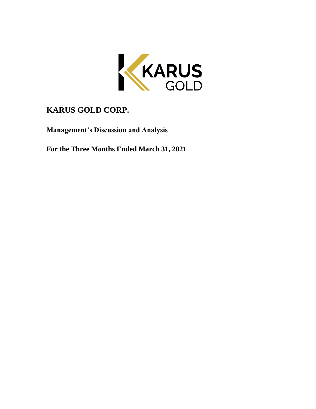

# **KARUS GOLD CORP.**

**Management's Discussion and Analysis**

**For the Three Months Ended March 31, 2021**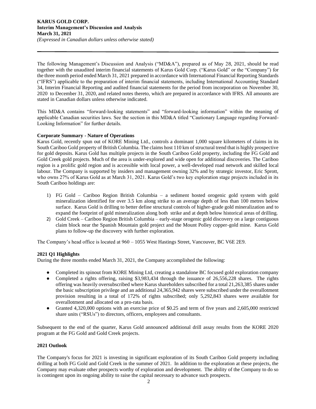The following Management's Discussion and Analysis ("MD&A"), prepared as of May 28, 2021, should be read together with the unaudited interim financial statements of Karus Gold Corp. ("Karus Gold" or the "Company") for the three month period ended March 31, 2021 prepared in accordance with International Financial Reporting Standards ("IFRS") applicable to the preparation of interim financial statements, including International Accounting Standard 34, Interim Financial Reporting and audited financial statements for the period from incorporation on November 30, 2020 to December 31, 2020, and related notes thereto, which are prepared in accordance with IFRS. All amounts are stated in Canadian dollars unless otherwise indicated.

This MD&A contains "forward-looking statements" and "forward-looking information" within the meaning of applicable Canadian securities laws. See the section in this MD&A titled "Cautionary Language regarding Forward-Looking Information" for further details.

# **Corporate Summary - Nature of Operations**

Karus Gold, recently spun out of KORE Mining Ltd., controls a dominant 1,000 square kilometers of claims in its South Cariboo Gold property of British Columbia. The claims host 110 km of structural trend that is highly prospective for gold deposits. Karus Gold has multiple projects in the South Cariboo Gold property, including the FG Gold and Gold Creek gold projects. Much of the area is under-explored and wide open for additional discoveries. The Cariboo region is a prolific gold region and is accessible with local power, a well-developed road network and skilled local labour. The Company is supported by insiders and management owning 32% and by strategic investor, Eric Sprott, who owns 27% of Karus Gold as at March 31, 2021. Karus Gold's two key exploration stage projects included in its South Cariboo holdings are:

- 1) FG Gold Cariboo Region British Columbia a sediment hosted orogenic gold system with gold mineralization identified for over 3.5 km along strike to an average depth of less than 100 metres below surface. Karus Gold is drilling to better define structural controls of higher-grade gold mineralization and to expand the footprint of gold mineralization along both strike and at depth below historical areas of drilling.
- 2) Gold Creek Cariboo Region British Columbia early-stage orogenic gold discovery on a large contiguous claim block near the Spanish Mountain gold project and the Mount Polley copper-gold mine. Karus Gold plans to follow-up the discovery with further exploration.

The Company's head office is located at 960 – 1055 West Hastings Street, Vancouver, BC V6E 2E9.

# **2021 Q1 Highlights**

During the three months ended March 31, 2021, the Company accomplished the following:

- Completed its spinout from KORE Mining Ltd, creating a standalone BC focused gold exploration company
- Completed a rights offering, raising \$3,983,434 through the issuance of 26,556,228 shares. The rights offering was heavily oversubscribed where Karus shareholders subscribed for a total 21,263,385 shares under the basic subscription privilege and an additional 24,365,942 shares were subscribed under the overallotment provision resulting in a total of 172% of rights subscribed; only 5,292,843 shares were available for overallotment and allocated on a pro-rata basis.
- Granted 4,320,000 options with an exercise price of \$0.25 and term of five years and 2,605,000 restricted share units ("RSUs") to directors, officers, employees and consultants.

Subsequent to the end of the quarter, Karus Gold announced additional drill assay results from the KORE 2020 program at the FG Gold and Gold Creek projects.

# **2021 Outlook**

The Company's focus for 2021 is investing in significant exploration of its South Cariboo Gold property including drilling at both FG Gold and Gold Creek in the summer of 2021. In addition to the exploration at these projects, the Company may evaluate other prospects worthy of exploration and development. The ability of the Company to do so is contingent upon its ongoing ability to raise the capital necessary to advance such prospects.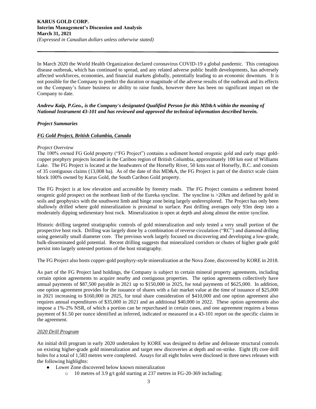In March 2020 the World Health Organization declared coronavirus COVID-19 a global pandemic. This contagious disease outbreak, which has continued to spread, and any related adverse public health developments, has adversely affected workforces, economies, and financial markets globally, potentially leading to an economic downturn. It is not possible for the Company to predict the duration or magnitude of the adverse results of the outbreak and its effects on the Company's future business or ability to raise funds, however there has been no significant impact on the Company to date.

# *Andrew Kaip, P.Geo., is the Company's designated Qualified Person for this MD&A within the meaning of National Instrument 43-101 and has reviewed and approved the technical information described herein.*

# *Project Summaries*

# *FG Gold Project, British Columbia, Canada*

#### *Project Overview*

The 100% owned FG Gold property ("FG Project") contains a sediment hosted orogenic gold and early stage goldcopper porphyry projects located in the Cariboo region of British Columbia, approximately 100 km east of Williams Lake. The FG Project is located at the headwaters of the Horsefly River, 50 kms east of Horsefly, B.C. and consists of 35 contiguous claims (13,008 ha). As of the date of this MD&A, the FG Project is part of the district scale claim block 100% owned by Karus Gold, the South Cariboo Gold property.

The FG Project is at low elevation and accessible by forestry roads. The FG Project contains a sediment hosted orogenic gold prospect on the northeast limb of the Eureka syncline. The syncline is >20km and defined by gold in soils and geophysics with the southwest limb and hinge zone being largely underexplored. The Project has only been shallowly drilled where gold mineralization is proximal to surface. Past drilling averages only 93m deep into a moderately dipping sedimentary host rock. Mineralization is open at depth and along almost the entire syncline.

Historic drilling targeted stratigraphic controls of gold mineralization and only tested a very small portion of the prospective host rock. Drilling was largely done by a combination of reverse circulation ("RC") and diamond drilling using generally small diameter core. The previous work largely focused on discovering and developing a low-grade, bulk-disseminated gold potential. Recent drilling suggests that mineralized corridors or chutes of higher grade gold persist into largely untested portions of the host stratigraphy.

The FG Project also hosts copper-gold porphyry-style mineralization at the Nova Zone, discovered by KORE in 2018.

As part of the FG Project land holdings, the Company is subject to certain mineral property agreements, including certain option agreements to acquire nearby and contiguous properties. The option agreements collectively have annual payments of \$87,500 payable in 2021 up to \$150,000 in 2025, for total payments of \$625,000. In addition, one option agreement provides for the issuance of shares with a fair market value at the time of issuance of \$25,000 in 2021 increasing to \$160,000 in 2025, for total share consideration of \$410,000 and one option agreement also requires annual expenditures of \$35,000 in 2021 and an additional \$40,000 in 2022. These option agreements also impose a 1%-2% NSR, of which a portion can be repurchased in certain cases, and one agreement requires a bonus payment of \$1.50 per ounce identified as inferred, indicated or measured in a 43-101 report on the specific claims in the agreement.

# *2020 Drill Program*

An initial drill program in early 2020 undertaken by KORE was designed to define and delineate structural controls on existing higher-grade gold mineralization and target new discoveries at depth and on-strike. Eight (8) core drill holes for a total of 1,583 metres were completed. Assays for all eight holes were disclosed in three news releases with the following highlights:

- Lower Zone discovered below known mineralization
	- o 10 metres of 3.9 g/t gold starting at 237 metres in FG-20-369 including: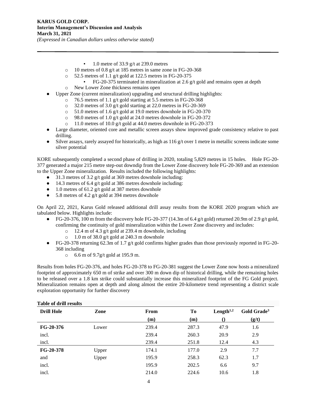- 1.0 metre of 33.9 g/t at 239.0 metres
- o 10 metres of 0.8 g/t at 185 metres in same zone in FG-20-368
- $\degree$  52.5 metres of 1.1 g/t gold at 122.5 metres in FG-20-375
	- FG-20-375 terminated in mineralization at 2.6 g/t gold and remains open at depth
- o New Lower Zone thickness remains open
- Upper Zone (current mineralization) upgrading and structural drilling highlights:
	- o 76.5 metres of 1.1 g/t gold starting at 5.5 metres in FG-20-368
	- o 32.0 metres of 3.0 g/t gold starting at 22.0 metres in FG-20-369
	- o 51.0 metres of 1.6 g/t gold at 19.0 metres downhole in FG-20-370
	- o 98.0 metres of 1.0 g/t gold at 24.0 metres downhole in FG-20-372
	- o 11.0 metres of 10.0 g/t gold at 44.0 metres downhole in FG-20-373
- Large diameter, oriented core and metallic screen assays show improved grade consistency relative to past drilling.
- Silver assays, rarely assayed for historically, as high as 116 g/t over 1 metre in metallic screens indicate some silver potential

KORE subsequently completed a second phase of drilling in 2020, totaling 5,829 metres in 15 holes. Hole FG-20- 377 generated a major 215 metre step-out downdip from the Lower Zone discovery hole FG-20-369 and an extension to the Upper Zone mineralization. Results included the following highlights:

- 31.3 metres of 3.2 g/t gold at 369 metres downhole including:
- 14.3 metres of 6.4 g/t gold at 386 metres downhole including:
- $\bullet$  1.0 metres of 61.2 g/t gold at 387 metres downhole
- 5.8 metres of 4.2 g/t gold at 394 metres downhole

On April 22, 2021, Karus Gold released additional drill assay results from the KORE 2020 program which are tabulated below. Highlights include:

- FG-20-376, 100 m from the discovery hole FG-20-377 (14.3m of 6.4 g/t gold) returned 20.9m of 2.9 g/t gold, confirming the continuity of gold mineralization within the Lower Zone discovery and includes:
	- o 12.4 m of 4.3 g/t gold at 239.4 m downhole, including
	- o 1.0 m of 38.0 g/t gold at 240.3 m downhole
- FG-20-378 returning 62.3m of 1.7 g/t gold confirms higher grades than those previously reported in FG-20- 368 including
	- o 6.6 m of 9.7g/t gold at 195.9 m.

Results from holes FG-20-376, and holes FG-20-378 to FG-20-381 suggest the Lower Zone now hosts a mineralized footprint of approximately 650 m of strike and over 300 m down dip of historical drilling, while the remaining holes to be released over a 1.8 km strike could substantially increase this mineralized footprint of the FG Gold project. Mineralization remains open at depth and along almost the entire 20-kilometre trend representing a district scale exploration opportunity for further discovery

| <b>Drill Hole</b> | Zone  | From  | To    | Length $1,2$ | Gold Grade <sup>3</sup> |
|-------------------|-------|-------|-------|--------------|-------------------------|
|                   |       | (m)   | (m)   |              | (g/t)                   |
| $FG-20-376$       | Lower | 239.4 | 287.3 | 47.9         | 1.6                     |
| incl.             |       | 239.4 | 260.3 | 20.9         | 2.9                     |
| incl.             |       | 239.4 | 251.8 | 12.4         | 4.3                     |
| $FG-20-378$       | Upper | 174.1 | 177.0 | 2.9          | 7.7                     |
| and               | Upper | 195.9 | 258.3 | 62.3         | 1.7                     |
| incl.             |       | 195.9 | 202.5 | 6.6          | 9.7                     |
| incl.             |       | 214.0 | 224.6 | 10.6         | 1.8                     |

# **Table of drill results**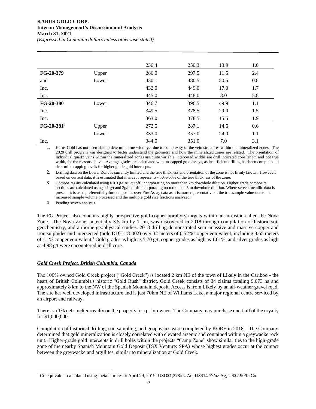# **KARUS GOLD CORP. Interim Management's Discussion and Analysis March 31, 2021**

*(Expressed in Canadian dollars unless otherwise stated)*

|                        |       | 236.4 | 250.3 | 13.9 | 1.0 |
|------------------------|-------|-------|-------|------|-----|
| FG-20-379              | Upper | 286.0 | 297.5 | 11.5 | 2.4 |
| and                    | Lower | 430.1 | 480.5 | 50.5 | 0.8 |
| Inc.                   |       | 432.0 | 449.0 | 17.0 | 1.7 |
| Inc.                   |       | 445.0 | 448.0 | 3.0  | 5.8 |
| FG-20-380              | Lower | 346.7 | 396.5 | 49.9 | 1.1 |
| Inc.                   |       | 349.5 | 378.5 | 29.0 | 1.5 |
| Inc.                   |       | 363.0 | 378.5 | 15.5 | 1.9 |
| FG-20-381 <sup>4</sup> | Upper | 272.5 | 287.1 | 14.6 | 0.6 |
|                        | Lower | 333.0 | 357.0 | 24.0 | 1.1 |
| Inc.                   |       | 344.0 | 351.0 | 7.0  | 3.1 |

1. Karus Gold has not been able to determine true width yet due to complexity of the vein structures within the mineralized zones. The 2020 drill program was designed to better understand the geometry and how the mineralized zones are related. The orientation of individual quartz veins within the mineralized zones are quite variable. Reported widths are drill indicated core length and not true width, for the reasons above. Average grades are calculated with un-capped gold assays, as insufficient drilling has been completed to determine capping levels for higher grade gold intercepts.

2. Drilling data on the Lower Zone is currently limited and the true thickness and orientation of the zone is not firmly known. However, based on current data, it is estimated that intercept represents ~50%-65% of the true thickness of the zone.

3. Composites are calculated using a 0.3 g/t Au cutoff, incorporating no more than 7m downhole dilution. Higher grade composite sections are calculated using a 1 g/t and 3g/t cutoff incorporating no more than 5 m downhole dilution. Where screen metallic data is present, it is used preferentially for composites over Fire Assay data as it is more representative of the true sample value due to the increased sample volume processed and the multiple gold size fractions analyzed.

4. Pending screen analysis.

The FG Project also contains highly prospective gold-copper porphyry targets within an intrusion called the Nova Zone. The Nova Zone, potentially 3.5 km by 1 km, was discovered in 2018 through compilation of historic soil geochemistry, and airborne geophysical studies. 2018 drilling demonstrated semi-massive and massive copper and iron sulphides and intersected (hole DDH-18-002) over 32 meters of 0.52% copper equivalent, including 8.65 meters of 1.1% copper equivalent.<sup>1</sup> Gold grades as high as 5.70 g/t, copper grades as high as 1.01%, and silver grades as high as 4.98 g/t were encountered in drill core.

# *Gold Creek Project, British Columbia, Canada*

The 100% owned Gold Creek project ("Gold Creek") is located 2 km NE of the town of Likely in the Cariboo - the heart of British Columbia's historic "Gold Rush" district. Gold Creek consists of 34 claims totaling 9,673 ha and approximately 8 km to the NW of the Spanish Mountain deposit. Access is from Likely by an all-weather gravel road. The site has well developed infrastructure and is just 70km NE of Williams Lake, a major regional centre serviced by an airport and railway.

There is a 1% net smelter royalty on the property to a prior owner. The Company may purchase one-half of the royalty for \$1,000,000.

Compilation of historical drilling, soil sampling, and geophysics were completed by KORE in 2018. The Company determined that gold mineralization is closely correlated with elevated arsenic and contained within a greywacke rock unit. Higher-grade gold intercepts in drill holes within the projects "Camp Zone" show similarities to the high-grade zone of the nearby Spanish Mountain Gold Deposit (TSX Venture: SPA) whose highest grades occur at the contact between the greywacke and argillites, similar to mineralization at Gold Creek.

<sup>&</sup>lt;sup>1</sup> Cu equivalent calculated using metals prices at April 29, 2019: USD\$1,278/oz Au, US\$14.77/oz Ag, US\$2.90/lb Cu.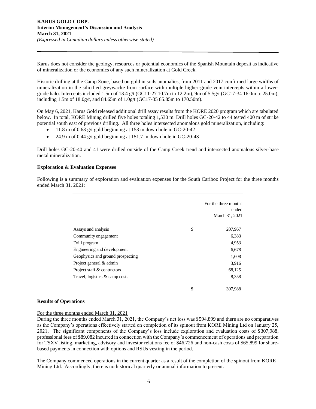Karus does not consider the geology, resources or potential economics of the Spanish Mountain deposit as indicative of mineralization or the economics of any such mineralization at Gold Creek.

Historic drilling at the Camp Zone, based on gold in soils anomalies, from 2011 and 2017 confirmed large widths of mineralization in the silicified greywacke from surface with multiple higher-grade vein intercepts within a lowergrade halo. Intercepts included 1.5m of 13.4 g/t (GC11-27 10.7m to 12.2m), 9m of 5.5g/t (GC17-34 16.0m to 25.0m), including 1.5m of 18.0g/t, and 84.65m of 1.0g/t (GC17-35 85.85m to 170.50m).

On May 6, 2021, Karus Gold released additional drill assay results from the KORE 2020 program which are tabulated below. In total, KORE Mining drilled five holes totaling 1,530 m. Drill holes GC-20-42 to 44 tested 400 m of strike potential south east of previous drilling. All three holes intersected anomalous gold mineralization, including:

- 11.8 m of 0.63 g/t gold beginning at 153 m down hole in GC-20-42
- 24.9 m of 0.44 g/t gold beginning at 151.7 m down hole in GC-20-43

Drill holes GC-20-40 and 41 were drilled outside of the Camp Creek trend and intersected anomalous silver-base metal mineralization.

#### **Exploration & Evaluation Expenses**

Following is a summary of exploration and evaluation expenses for the South Cariboo Project for the three months ended March 31, 2021:

|                                   | For the three months<br>ended<br>March 31, 2021 |
|-----------------------------------|-------------------------------------------------|
| Assays and analysis               | \$<br>207,967                                   |
| Community engagement              | 6,383                                           |
| Drill program                     | 4,953                                           |
| Engineering and development       | 6,678                                           |
| Geophysics and ground prospecting | 1,608                                           |
| Project general & admin           | 3,916                                           |
| Project staff & contractors       | 68,125                                          |
| Travel, logistics & camp costs    | 8,358                                           |
|                                   | \$<br>307,988                                   |

#### **Results of Operations**

For the three months ended March 31, 2021

During the three months ended March 31, 2021, the Company's net loss was \$594,899 and there are no comparatives as the Company's operations effectively started on completion of its spinout from KORE Mining Ltd on January 25, 2021. The significant components of the Company's loss include exploration and evaluation costs of \$307,988, professional fees of \$89,082 incurred in connection with the Company's commencement of operations and preparation for TSXV listing, marketing, advisory and investor relations fee of \$46,726 and non-cash costs of \$65,899 for sharebased payments in connection with options and RSUs vesting in the period.

The Company commenced operations in the current quarter as a result of the completion of the spinout from KORE Mining Ltd. Accordingly, there is no historical quarterly or annual information to present.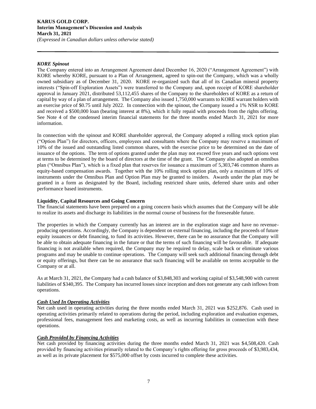#### **KARUS GOLD CORP. Interim Management's Discussion and Analysis March 31, 2021** *(Expressed in Canadian dollars unless otherwise stated)*

# *KORE Spinout*

The Company entered into an Arrangement Agreement dated December 16, 2020 ("Arrangement Agreement") with KORE whereby KORE, pursuant to a Plan of Arrangement, agreed to spin-out the Company, which was a wholly owned subsidiary as of December 31, 2020. KORE re-organized such that all of its Canadian mineral property interests ("Spin-off Exploration Assets") were transferred to the Company and, upon receipt of KORE shareholder approval in January 2021, distributed 53,112,455 shares of the Company to the shareholders of KORE as a return of capital by way of a plan of arrangement. The Company also issued 1,750,000 warrants to KORE warrant holders with an exercise price of \$0.75 until July 2022. In connection with the spinout, the Company issued a 1% NSR to KORE and received a \$500,000 loan (bearing interest at 8%), which it fully repaid with proceeds from the rights offering. See Note 4 of the condensed interim financial statements for the three months ended March 31, 2021 for more information.

In connection with the spinout and KORE shareholder approval, the Company adopted a rolling stock option plan ("Option Plan") for directors, officers, employees and consultants where the Company may reserve a maximum of 10% of the issued and outstanding listed common shares, with the exercise price to be determined on the date of issuance of the options. The term of options granted under the plan may not exceed five years and such options vest at terms to be determined by the board of directors at the time of the grant. The Company also adopted an omnibus plan ("Omnibus Plan"), which is a fixed plan that reserves for issuance a maximum of 5,303,746 common shares as equity-based compensation awards. Together with the 10% rolling stock option plan, only a maximum of 10% of instruments under the Omnibus Plan and Option Plan may be granted to insiders. Awards under the plan may be granted in a form as designated by the Board, including restricted share units, deferred share units and other performance based instruments.

#### **Liquidity, Capital Resources and Going Concern**

The financial statements have been prepared on a going concern basis which assumes that the Company will be able to realize its assets and discharge its liabilities in the normal course of business for the foreseeable future.

The properties in which the Company currently has an interest are in the exploration stage and have no revenueproducing operations. Accordingly, the Company is dependent on external financing, including the proceeds of future equity issuances or debt financing, to fund its activities. However, there can be no assurance that the Company will be able to obtain adequate financing in the future or that the terms of such financing will be favourable. If adequate financing is not available when required, the Company may be required to delay, scale back or eliminate various programs and may be unable to continue operations. The Company will seek such additional financing through debt or equity offerings, but there can be no assurance that such financing will be available on terms acceptable to the Company or at all.

As at March 31, 2021, the Company had a cash balance of \$3,848,303 and working capital of \$3,548,900 with current liabilities of \$340,395. The Company has incurred losses since inception and does not generate any cash inflows from operations.

#### *Cash Used In Operating Activities*

Net cash used in operating activities during the three months ended March 31, 2021 was \$252,876. Cash used in operating activities primarily related to operations during the period, including exploration and evaluation expenses, professional fees, management fees and marketing costs, as well as incurring liabilities in connection with these operations.

#### *Cash Provided by Financing Activities*

Net cash provided by financing activities during the three months ended March 31, 2021 was \$4,508,420. Cash provided by financing activities primarily related to the Company's rights offering for gross proceeds of \$3,983,434, as well as its private placement for \$575,000 offset by costs incurred to complete these activities.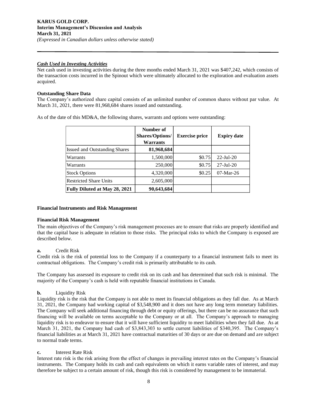# *Cash Used in Investing Activities*

Net cash used in investing activities during the three months ended March 31, 2021 was \$407,242, which consists of the transaction costs incurred in the Spinout which were ultimately allocated to the exploration and evaluation assets acquired.

# **Outstanding Share Data**

The Company's authorized share capital consists of an unlimited number of common shares without par value. At March 31, 2021, there were 81,968,684 shares issued and outstanding.

As of the date of this MD&A, the following shares, warrants and options were outstanding:

|                                      | Number of<br><b>Shares/Options/</b><br>Warrants | <b>Exercise price</b> | <b>Expiry date</b>     |
|--------------------------------------|-------------------------------------------------|-----------------------|------------------------|
| <b>Issued and Outstanding Shares</b> | 81,968,684                                      |                       |                        |
| Warrants                             | 1,500,000                                       | \$0.75                | $22$ -Jul-20           |
| Warrants                             | 250,000                                         | \$0.75                | $27 - \text{Jul} - 20$ |
| <b>Stock Options</b>                 | 4,320,000                                       | \$0.25                | $07-Mar-26$            |
| <b>Restricted Share Units</b>        | 2,605,000                                       |                       |                        |
| Fully Diluted at May 28, 2021        | 90,643,684                                      |                       |                        |

#### **Financial Instruments and Risk Management**

#### **Financial Risk Management**

The main objectives of the Company's risk management processes are to ensure that risks are properly identified and that the capital base is adequate in relation to those risks. The principal risks to which the Company is exposed are described below.

#### **a.** Credit Risk

Credit risk is the risk of potential loss to the Company if a counterparty to a financial instrument fails to meet its contractual obligations. The Company's credit risk is primarily attributable to its cash.

The Company has assessed its exposure to credit risk on its cash and has determined that such risk is minimal. The majority of the Company's cash is held with reputable financial institutions in Canada.

# **b.** Liquidity Risk

Liquidity risk is the risk that the Company is not able to meet its financial obligations as they fall due. As at March 31, 2021, the Company had working capital of \$3,548,900 and it does not have any long term monetary liabilities. The Company will seek additional financing through debt or equity offerings, but there can be no assurance that such financing will be available on terms acceptable to the Company or at all. The Company's approach to managing liquidity risk is to endeavor to ensure that it will have sufficient liquidity to meet liabilities when they fall due. As at March 31, 2021, the Company had cash of \$3,843,303 to settle current liabilities of \$340,395. The Company's financial liabilities as at March 31, 2021 have contractual maturities of 30 days or are due on demand and are subject to normal trade terms.

# **c.** Interest Rate Risk

Interest rate risk is the risk arising from the effect of changes in prevailing interest rates on the Company's financial instruments. The Company holds its cash and cash equivalents on which it earns variable rates of interest, and may therefore be subject to a certain amount of risk, though this risk is considered by management to be immaterial.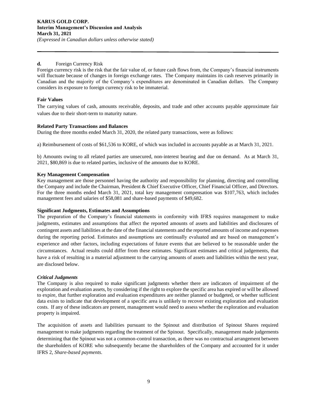# **d.** Foreign Currency Risk

Foreign currency risk is the risk that the fair value of, or future cash flows from, the Company's financial instruments will fluctuate because of changes in foreign exchange rates. The Company maintains its cash reserves primarily in Canadian and the majority of the Company's expenditures are denominated in Canadian dollars. The Company considers its exposure to foreign currency risk to be immaterial.

# **Fair Values**

The carrying values of cash, amounts receivable, deposits, and trade and other accounts payable approximate fair values due to their short-term to maturity nature.

# **Related Party Transactions and Balances**

During the three months ended March 31, 2020, the related party transactions, were as follows:

a) Reimbursement of costs of \$61,536 to KORE, of which was included in accounts payable as at March 31, 2021.

b) Amounts owing to all related parties are unsecured, non-interest bearing and due on demand. As at March 31, 2021, \$80,869 is due to related parties, inclusive of the amounts due to KORE.

# **Key Management Compensation**

Key management are those personnel having the authority and responsibility for planning, directing and controlling the Company and include the Chairman, President & Chief Executive Officer, Chief Financial Officer, and Directors. For the three months ended March 31, 2021, total key management compensation was \$107,763, which includes management fees and salaries of \$58,081 and share-based payments of \$49,682.

#### **Significant Judgments, Estimates and Assumptions**

The preparation of the Company's financial statements in conformity with IFRS requires management to make judgments, estimates and assumptions that affect the reported amounts of assets and liabilities and disclosures of contingent assets and liabilities at the date of the financial statements and the reported amounts of income and expenses during the reporting period. Estimates and assumptions are continually evaluated and are based on management's experience and other factors, including expectations of future events that are believed to be reasonable under the circumstances. Actual results could differ from these estimates. Significant estimates and critical judgements, that have a risk of resulting in a material adjustment to the carrying amounts of assets and liabilities within the next year, are disclosed below.

#### *Critical Judgments*

The Company is also required to make significant judgments whether there are indicators of impairment of the exploration and evaluation assets, by considering if the right to explore the specific area has expired or will be allowed to expire, that further exploration and evaluation expenditures are neither planned or budgeted, or whether sufficient data exists to indicate that development of a specific area is unlikely to recover existing exploration and evaluation costs. If any of these indicators are present, management would need to assess whether the exploration and evaluation property is impaired.

The acquisition of assets and liabilities pursuant to the Spinout and distribution of Spinout Shares required management to make judgments regarding the treatment of the Spinout. Specifically, management made judgements determining that the Spinout was not a common-control transaction, as there was no contractual arrangement between the shareholders of KORE who subsequently became the shareholders of the Company and accounted for it under IFRS 2, *Share-based payments*.